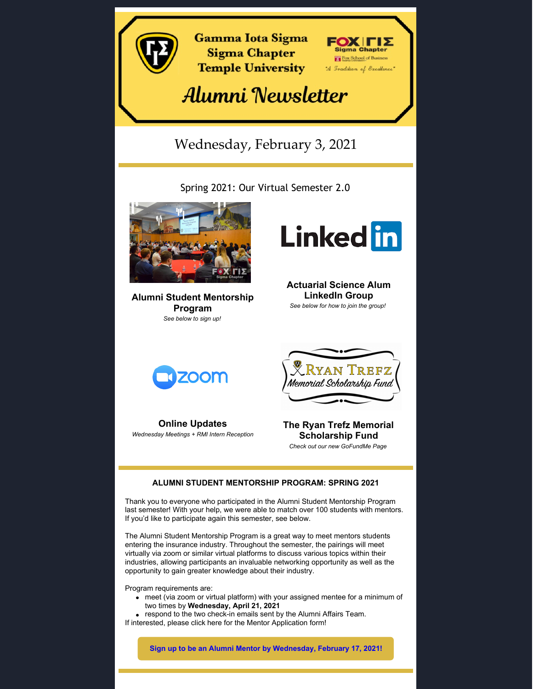

Program requirements are:

- meet (via zoom or virtual platform) with your assigned mentee for a minimum of two times by **Wednesday, April 21, 2021**
- respond to the two check-in emails sent by the Alumni Affairs Team.
- If interested, please click [here](https://forms.gle/iNCTCt5oRk3LdoxN6) for the Mentor Application form!

**Sign up to be an Alumni Mentor by [Wednesday,](https://docs.google.com/forms/d/1Rj9kKQksaZH3GP5hpDQxbs4shUV59mH4jqB2rf1mEA8/edit) February 17, 2021!**